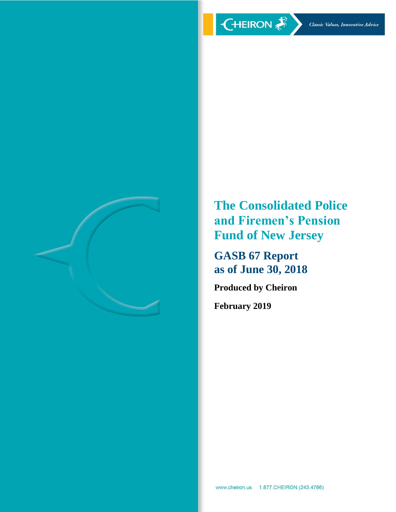

**The Consolidated Police and Firemen's Pension Fund of New Jersey**

**GASB 67 Report as of June 30, 2018**

**Produced by Cheiron**

**February 2019**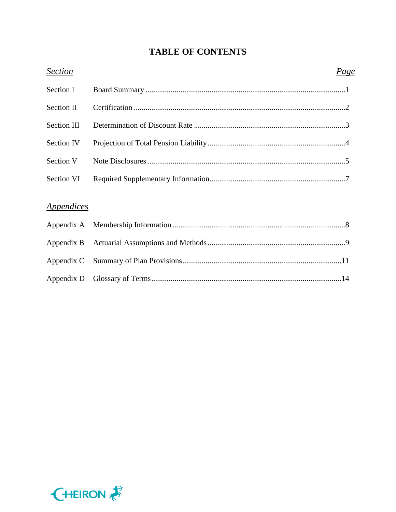# **TABLE OF CONTENTS**

| <b>Section</b>                  | <u>Page</u> |
|---------------------------------|-------------|
| Section I                       |             |
| <b>Section II</b>               |             |
| Section III                     |             |
| Section IV                      |             |
| Section V                       |             |
| Section VI                      |             |
| <i><u><b>Appendices</b></u></i> |             |
|                                 |             |
|                                 |             |
| Appendix C                      |             |
| Appendix D                      |             |

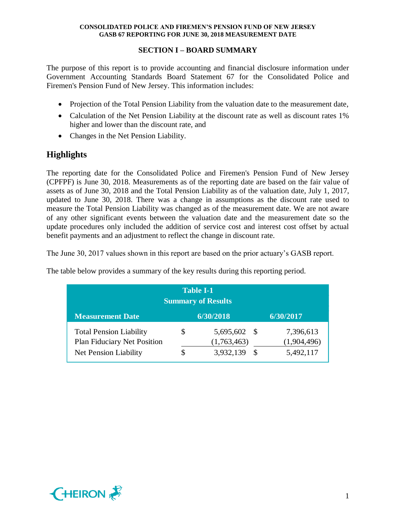## **SECTION I – BOARD SUMMARY**

The purpose of this report is to provide accounting and financial disclosure information under Government Accounting Standards Board Statement 67 for the Consolidated Police and Firemen's Pension Fund of New Jersey. This information includes:

- Projection of the Total Pension Liability from the valuation date to the measurement date,
- Calculation of the Net Pension Liability at the discount rate as well as discount rates 1% higher and lower than the discount rate, and
- Changes in the Net Pension Liability.

# **Highlights**

The reporting date for the Consolidated Police and Firemen's Pension Fund of New Jersey (CPFPF) is June 30, 2018. Measurements as of the reporting date are based on the fair value of assets as of June 30, 2018 and the Total Pension Liability as of the valuation date, July 1, 2017, updated to June 30, 2018. There was a change in assumptions as the discount rate used to measure the Total Pension Liability was changed as of the measurement date. We are not aware of any other significant events between the valuation date and the measurement date so the update procedures only included the addition of service cost and interest cost offset by actual benefit payments and an adjustment to reflect the change in discount rate.

The June 30, 2017 values shown in this report are based on the prior actuary's GASB report.

| <b>Table I-1</b><br><b>Summary of Results</b>                 |  |                             |    |                          |  |
|---------------------------------------------------------------|--|-----------------------------|----|--------------------------|--|
| <b>Measurement Date</b>                                       |  | 6/30/2018                   |    | 6/30/2017                |  |
| <b>Total Pension Liability</b><br>Plan Fiduciary Net Position |  | 5,695,602 \$<br>(1,763,463) |    | 7,396,613<br>(1,904,496) |  |
| Net Pension Liability                                         |  | 3,932,139                   | -S | 5,492,117                |  |

The table below provides a summary of the key results during this reporting period.

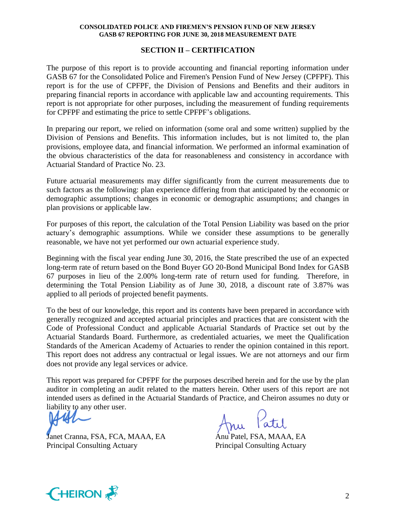#### **SECTION II – CERTIFICATION**

The purpose of this report is to provide accounting and financial reporting information under GASB 67 for the Consolidated Police and Firemen's Pension Fund of New Jersey (CPFPF). This report is for the use of CPFPF, the Division of Pensions and Benefits and their auditors in preparing financial reports in accordance with applicable law and accounting requirements. This report is not appropriate for other purposes, including the measurement of funding requirements for CPFPF and estimating the price to settle CPFPF's obligations.

In preparing our report, we relied on information (some oral and some written) supplied by the Division of Pensions and Benefits. This information includes, but is not limited to, the plan provisions, employee data, and financial information. We performed an informal examination of the obvious characteristics of the data for reasonableness and consistency in accordance with Actuarial Standard of Practice No. 23.

Future actuarial measurements may differ significantly from the current measurements due to such factors as the following: plan experience differing from that anticipated by the economic or demographic assumptions; changes in economic or demographic assumptions; and changes in plan provisions or applicable law.

For purposes of this report, the calculation of the Total Pension Liability was based on the prior actuary's demographic assumptions. While we consider these assumptions to be generally reasonable, we have not yet performed our own actuarial experience study.

Beginning with the fiscal year ending June 30, 2016, the State prescribed the use of an expected long-term rate of return based on the Bond Buyer GO 20-Bond Municipal Bond Index for GASB 67 purposes in lieu of the 2.00% long-term rate of return used for funding. Therefore, in determining the Total Pension Liability as of June 30, 2018, a discount rate of 3.87% was applied to all periods of projected benefit payments.

To the best of our knowledge, this report and its contents have been prepared in accordance with generally recognized and accepted actuarial principles and practices that are consistent with the Code of Professional Conduct and applicable Actuarial Standards of Practice set out by the Actuarial Standards Board. Furthermore, as credentialed actuaries, we meet the Qualification Standards of the American Academy of Actuaries to render the opinion contained in this report. This report does not address any contractual or legal issues. We are not attorneys and our firm does not provide any legal services or advice.

This report was prepared for CPFPF for the purposes described herein and for the use by the plan auditor in completing an audit related to the matters herein. Other users of this report are not intended users as defined in the Actuarial Standards of Practice, and Cheiron assumes no duty or liability to any other user.

Janet Cranna, FSA, FCA, MAAA, EA Anu Patel, FSA, MAAA, EA Principal Consulting Actuary Principal Consulting Actuary

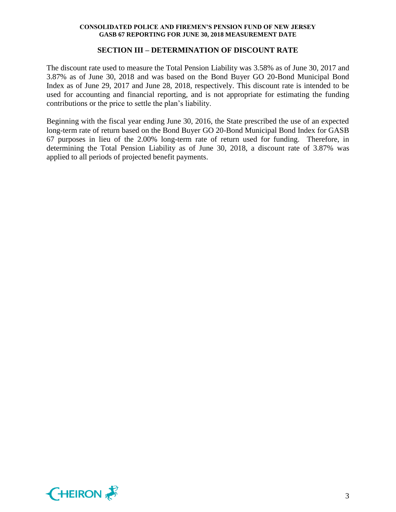#### **SECTION III – DETERMINATION OF DISCOUNT RATE**

The discount rate used to measure the Total Pension Liability was 3.58% as of June 30, 2017 and 3.87% as of June 30, 2018 and was based on the Bond Buyer GO 20-Bond Municipal Bond Index as of June 29, 2017 and June 28, 2018, respectively. This discount rate is intended to be used for accounting and financial reporting, and is not appropriate for estimating the funding contributions or the price to settle the plan's liability.

Beginning with the fiscal year ending June 30, 2016, the State prescribed the use of an expected long-term rate of return based on the Bond Buyer GO 20-Bond Municipal Bond Index for GASB 67 purposes in lieu of the 2.00% long-term rate of return used for funding. Therefore, in determining the Total Pension Liability as of June 30, 2018, a discount rate of 3.87% was applied to all periods of projected benefit payments.

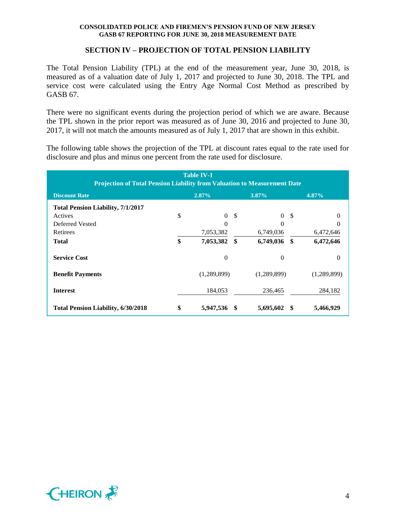#### **SECTION IV – PROJECTION OF TOTAL PENSION LIABILITY**

The Total Pension Liability (TPL) at the end of the measurement year, June 30, 2018, is measured as of a valuation date of July 1, 2017 and projected to June 30, 2018. The TPL and service cost were calculated using the Entry Age Normal Cost Method as prescribed by GASB 67.

There were no significant events during the projection period of which we are aware. Because the TPL shown in the prior report was measured as of June 30, 2016 and projected to June 30, 2017, it will not match the amounts measured as of July 1, 2017 that are shown in this exhibit.

The following table shows the projection of the TPL at discount rates equal to the rate used for disclosure and plus and minus one percent from the rate used for disclosure.

| <b>Table IV-1</b><br><b>Projection of Total Pension Liability from Valuation to Measurement Date</b> |                               |             |               |                |     |             |
|------------------------------------------------------------------------------------------------------|-------------------------------|-------------|---------------|----------------|-----|-------------|
| <b>Discount Rate</b>                                                                                 | $2.87\%$<br>4.87%<br>$3.87\%$ |             |               |                |     |             |
| <b>Total Pension Liability, 7/1/2017</b>                                                             |                               |             |               |                |     |             |
| Actives                                                                                              | \$                            | $\theta$    | $\mathcal{S}$ | $\overline{0}$ | -S  | 0           |
| Deferred Vested                                                                                      |                               | $\theta$    |               | 0              |     | 0           |
| Retirees                                                                                             |                               | 7,053,382   |               | 6,749,036      |     | 6,472,646   |
| <b>Total</b>                                                                                         | \$                            | 7,053,382   | \$            | 6,749,036      | -\$ | 6,472,646   |
| <b>Service Cost</b>                                                                                  |                               | $\theta$    |               | $\overline{0}$ |     | $\theta$    |
| <b>Benefit Payments</b>                                                                              |                               | (1,289,899) |               | (1,289,899)    |     | (1,289,899) |
| <b>Interest</b>                                                                                      |                               | 184,053     |               | 236,465        |     | 284,182     |
| <b>Total Pension Liability, 6/30/2018</b>                                                            | \$                            | 5,947,536   |               | 5,695,602      | S   | 5,466,929   |

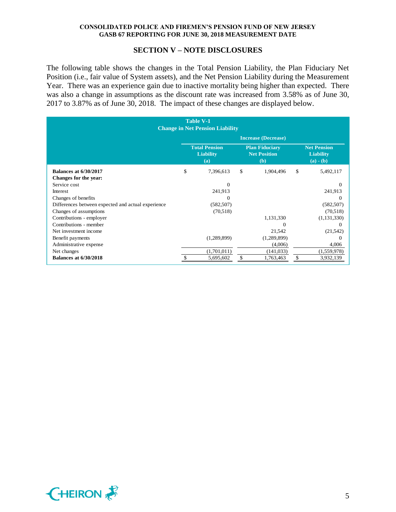#### **SECTION V – NOTE DISCLOSURES**

The following table shows the changes in the Total Pension Liability, the Plan Fiduciary Net Position (i.e., fair value of System assets), and the Net Pension Liability during the Measurement Year. There was an experience gain due to inactive mortality being higher than expected. There was also a change in assumptions as the discount rate was increased from 3.58% as of June 30, 2017 to 3.87% as of June 30, 2018. The impact of these changes are displayed below.

| <b>Table V-1</b><br><b>Change in Net Pension Liability</b> |                                                                                                               |             |                 |    |                                                       |
|------------------------------------------------------------|---------------------------------------------------------------------------------------------------------------|-------------|-----------------|----|-------------------------------------------------------|
|                                                            | <b>Increase (Decrease)</b>                                                                                    |             |                 |    |                                                       |
|                                                            | <b>Total Pension</b><br><b>Plan Fiduciary</b><br><b>Net Position</b><br><b>Liability</b><br>(a)<br><b>(b)</b> |             |                 |    | <b>Net Pension</b><br><b>Liability</b><br>$(a) - (b)$ |
| <b>Balances at 6/30/2017</b>                               | \$                                                                                                            | 7,396,613   | \$<br>1,904,496 | \$ | 5,492,117                                             |
| Changes for the year:                                      |                                                                                                               |             |                 |    |                                                       |
| Service cost                                               |                                                                                                               | $\Omega$    |                 |    | $\Omega$                                              |
| Interest                                                   |                                                                                                               | 241,913     |                 |    | 241,913                                               |
| Changes of benefits                                        |                                                                                                               | $\Omega$    |                 |    | $\Omega$                                              |
| Differences between expected and actual experience         |                                                                                                               | (582, 507)  |                 |    | (582, 507)                                            |
| Changes of assumptions                                     |                                                                                                               | (70,518)    |                 |    | (70,518)                                              |
| Contributions - employer                                   |                                                                                                               |             | 1,131,330       |    | (1,131,330)                                           |
| Contributions - member                                     |                                                                                                               |             | $\Omega$        |    | $\Omega$                                              |
| Net investment income                                      |                                                                                                               |             | 21,542          |    | (21, 542)                                             |
| Benefit payments                                           |                                                                                                               | (1,289,899) | (1,289,899)     |    | 0                                                     |
| Administrative expense                                     |                                                                                                               |             | (4,006)         |    | 4,006                                                 |
| Net changes                                                |                                                                                                               | (1,701,011) | (141, 033)      |    | (1,559,978)                                           |
| <b>Balances at 6/30/2018</b>                               |                                                                                                               | 5,695,602   | \$<br>1,763,463 | \$ | 3,932,139                                             |

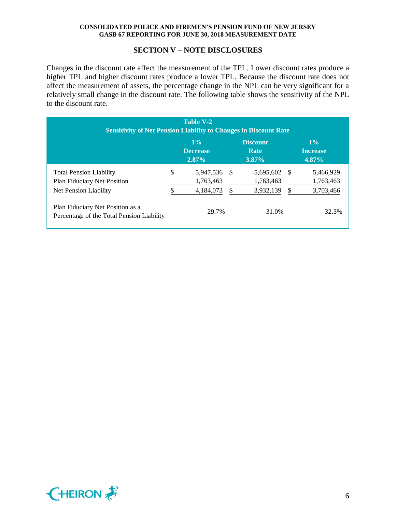#### **SECTION V – NOTE DISCLOSURES**

Changes in the discount rate affect the measurement of the TPL. Lower discount rates produce a higher TPL and higher discount rates produce a lower TPL. Because the discount rate does not affect the measurement of assets, the percentage change in the NPL can be very significant for a relatively small change in the discount rate. The following table shows the sensitivity of the NPL to the discount rate.

| <b>Table V-2</b><br><b>Sensitivity of Net Pension Liability to Changes in Discount Rate</b> |    |                                      |    |                                            |      |                                      |  |
|---------------------------------------------------------------------------------------------|----|--------------------------------------|----|--------------------------------------------|------|--------------------------------------|--|
|                                                                                             |    | $1\%$<br><b>Decrease</b><br>$2.87\%$ |    | <b>Discount</b><br><b>Rate</b><br>$3.87\%$ |      | $1\%$<br><b>Increase</b><br>$4.87\%$ |  |
| <b>Total Pension Liability</b><br><b>Plan Fiduciary Net Position</b>                        | \$ | 5,947,536<br>1,763,463               | -S | 5,695,602<br>1,763,463                     | - \$ | 5,466,929<br>1,763,463               |  |
| Net Pension Liability                                                                       |    | 4,184,073                            |    | 3,932,139                                  | \$   | 3,703,466                            |  |
| Plan Fiduciary Net Position as a<br>Percentage of the Total Pension Liability               |    | 29.7%                                |    | 31.0%                                      |      | 32.3%                                |  |

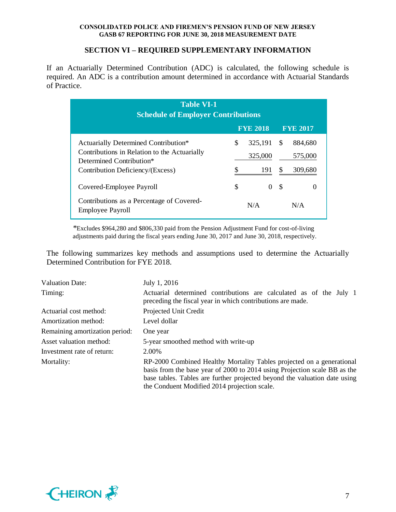## **SECTION VI – REQUIRED SUPPLEMENTARY INFORMATION**

If an Actuarially Determined Contribution (ADC) is calculated, the following schedule is required. An ADC is a contribution amount determined in accordance with Actuarial Standards of Practice.

| <b>Table VI-1</b><br><b>Schedule of Employer Contributions</b>                                                                                       |    |                           |                     |                               |  |
|------------------------------------------------------------------------------------------------------------------------------------------------------|----|---------------------------|---------------------|-------------------------------|--|
|                                                                                                                                                      |    | <b>FYE 2018</b>           |                     | <b>FYE 2017</b>               |  |
| Actuarially Determined Contribution*<br>Contributions in Relation to the Actuarially<br>Determined Contribution*<br>Contribution Deficiency/(Excess) | \$ | 325,191<br>325,000<br>191 | <sup>\$</sup><br>\$ | 884,680<br>575,000<br>309,680 |  |
| Covered-Employee Payroll                                                                                                                             | S  | $\Omega$                  | S                   | $\theta$                      |  |
| Contributions as a Percentage of Covered-<br><b>Employee Payroll</b>                                                                                 |    | N/A                       |                     | N/A                           |  |

*\**Excludes \$964,280 and \$806,330 paid from the Pension Adjustment Fund for cost-of-living adjustments paid during the fiscal years ending June 30, 2017 and June 30, 2018, respectively.

The following summarizes key methods and assumptions used to determine the Actuarially Determined Contribution for FYE 2018.

| <b>Valuation Date:</b>         | July 1, 2016                                                                                                                                                                                                                                                                    |  |  |  |  |
|--------------------------------|---------------------------------------------------------------------------------------------------------------------------------------------------------------------------------------------------------------------------------------------------------------------------------|--|--|--|--|
| Timing:                        | Actuarial determined contributions are calculated as of the July 1<br>preceding the fiscal year in which contributions are made.                                                                                                                                                |  |  |  |  |
| Actuarial cost method:         | Projected Unit Credit                                                                                                                                                                                                                                                           |  |  |  |  |
| Amortization method:           | Level dollar                                                                                                                                                                                                                                                                    |  |  |  |  |
| Remaining amortization period: | One year                                                                                                                                                                                                                                                                        |  |  |  |  |
| Asset valuation method:        | 5-year smoothed method with write-up                                                                                                                                                                                                                                            |  |  |  |  |
| Investment rate of return:     | 2.00%                                                                                                                                                                                                                                                                           |  |  |  |  |
| Mortality:                     | RP-2000 Combined Healthy Mortality Tables projected on a generational<br>basis from the base year of 2000 to 2014 using Projection scale BB as the<br>base tables. Tables are further projected beyond the valuation date using<br>the Conduent Modified 2014 projection scale. |  |  |  |  |

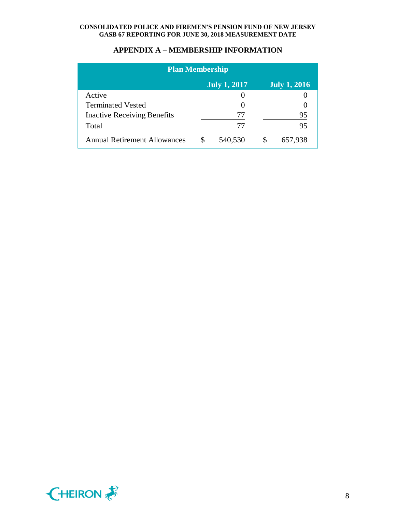| <b>Plan Membership</b>              |          |                     |   |                     |  |
|-------------------------------------|----------|---------------------|---|---------------------|--|
|                                     |          | <b>July 1, 2017</b> |   | <b>July 1, 2016</b> |  |
| Active                              |          |                     |   |                     |  |
| <b>Terminated Vested</b>            |          |                     |   |                     |  |
| <b>Inactive Receiving Benefits</b>  |          | 77                  |   | 95                  |  |
| Total                               |          | 77                  |   | 95                  |  |
| <b>Annual Retirement Allowances</b> | <b>S</b> | 540,530             | S | 657,938             |  |

## **APPENDIX A – MEMBERSHIP INFORMATION**

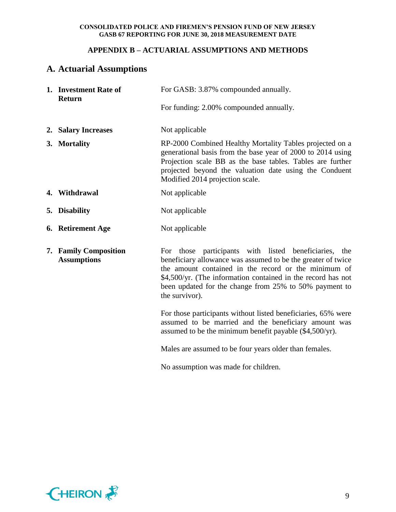## **APPENDIX B – ACTUARIAL ASSUMPTIONS AND METHODS**

# **A. Actuarial Assumptions**

| 1. Investment Rate of<br><b>Return</b>      | For GASB: 3.87% compounded annually.                                                                                                                                                                                                                                                                                         |
|---------------------------------------------|------------------------------------------------------------------------------------------------------------------------------------------------------------------------------------------------------------------------------------------------------------------------------------------------------------------------------|
|                                             | For funding: 2.00% compounded annually.                                                                                                                                                                                                                                                                                      |
| 2. Salary Increases                         | Not applicable                                                                                                                                                                                                                                                                                                               |
| 3. Mortality                                | RP-2000 Combined Healthy Mortality Tables projected on a<br>generational basis from the base year of 2000 to 2014 using<br>Projection scale BB as the base tables. Tables are further<br>projected beyond the valuation date using the Conduent<br>Modified 2014 projection scale.                                           |
| 4. Withdrawal                               | Not applicable                                                                                                                                                                                                                                                                                                               |
| 5. Disability                               | Not applicable                                                                                                                                                                                                                                                                                                               |
| 6. Retirement Age                           | Not applicable                                                                                                                                                                                                                                                                                                               |
| 7. Family Composition<br><b>Assumptions</b> | For those participants with listed beneficiaries,<br>the<br>beneficiary allowance was assumed to be the greater of twice<br>the amount contained in the record or the minimum of<br>\$4,500/yr. (The information contained in the record has not<br>been updated for the change from 25% to 50% payment to<br>the survivor). |
|                                             | For those participants without listed beneficiaries, 65% were<br>assumed to be married and the beneficiary amount was<br>assumed to be the minimum benefit payable (\$4,500/yr).                                                                                                                                             |
|                                             | Males are assumed to be four years older than females.                                                                                                                                                                                                                                                                       |
|                                             | No assumption was made for children.                                                                                                                                                                                                                                                                                         |

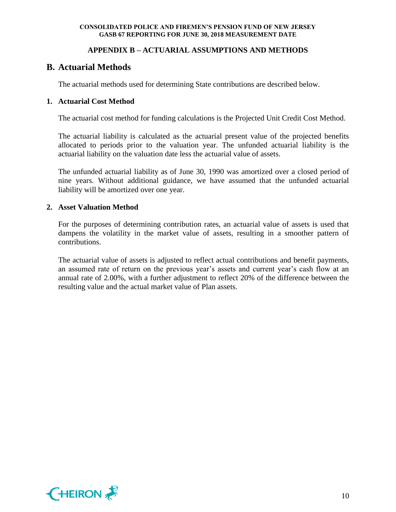## **APPENDIX B – ACTUARIAL ASSUMPTIONS AND METHODS**

## **B. Actuarial Methods**

The actuarial methods used for determining State contributions are described below.

## **1. Actuarial Cost Method**

The actuarial cost method for funding calculations is the Projected Unit Credit Cost Method.

The actuarial liability is calculated as the actuarial present value of the projected benefits allocated to periods prior to the valuation year. The unfunded actuarial liability is the actuarial liability on the valuation date less the actuarial value of assets.

The unfunded actuarial liability as of June 30, 1990 was amortized over a closed period of nine years. Without additional guidance, we have assumed that the unfunded actuarial liability will be amortized over one year.

#### **2. Asset Valuation Method**

For the purposes of determining contribution rates, an actuarial value of assets is used that dampens the volatility in the market value of assets, resulting in a smoother pattern of contributions.

The actuarial value of assets is adjusted to reflect actual contributions and benefit payments, an assumed rate of return on the previous year's assets and current year's cash flow at an annual rate of 2.00%, with a further adjustment to reflect 20% of the difference between the resulting value and the actual market value of Plan assets.

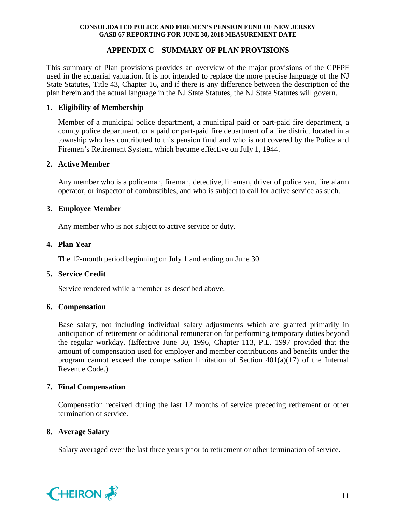## **APPENDIX C – SUMMARY OF PLAN PROVISIONS**

This summary of Plan provisions provides an overview of the major provisions of the CPFPF used in the actuarial valuation. It is not intended to replace the more precise language of the NJ State Statutes, Title 43, Chapter 16, and if there is any difference between the description of the plan herein and the actual language in the NJ State Statutes, the NJ State Statutes will govern.

## **1. Eligibility of Membership**

Member of a municipal police department, a municipal paid or part-paid fire department, a county police department, or a paid or part-paid fire department of a fire district located in a township who has contributed to this pension fund and who is not covered by the Police and Firemen's Retirement System, which became effective on July 1, 1944.

#### **2. Active Member**

Any member who is a policeman, fireman, detective, lineman, driver of police van, fire alarm operator, or inspector of combustibles, and who is subject to call for active service as such.

#### **3. Employee Member**

Any member who is not subject to active service or duty.

#### **4. Plan Year**

The 12-month period beginning on July 1 and ending on June 30.

#### **5. Service Credit**

Service rendered while a member as described above.

#### **6. Compensation**

Base salary, not including individual salary adjustments which are granted primarily in anticipation of retirement or additional remuneration for performing temporary duties beyond the regular workday. (Effective June 30, 1996, Chapter 113, P.L. 1997 provided that the amount of compensation used for employer and member contributions and benefits under the program cannot exceed the compensation limitation of Section 401(a)(17) of the Internal Revenue Code.)

#### **7. Final Compensation**

Compensation received during the last 12 months of service preceding retirement or other termination of service.

#### **8. Average Salary**

Salary averaged over the last three years prior to retirement or other termination of service.

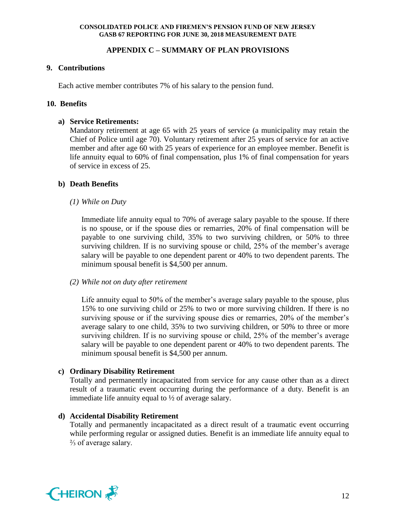## **APPENDIX C – SUMMARY OF PLAN PROVISIONS**

## **9. Contributions**

Each active member contributes 7% of his salary to the pension fund.

## **10. Benefits**

## **a) Service Retirements:**

Mandatory retirement at age 65 with 25 years of service (a municipality may retain the Chief of Police until age 70). Voluntary retirement after 25 years of service for an active member and after age 60 with 25 years of experience for an employee member. Benefit is life annuity equal to 60% of final compensation, plus 1% of final compensation for years of service in excess of 25.

## **b) Death Benefits**

*(1) While on Duty*

Immediate life annuity equal to 70% of average salary payable to the spouse. If there is no spouse, or if the spouse dies or remarries, 20% of final compensation will be payable to one surviving child, 35% to two surviving children, or 50% to three surviving children. If is no surviving spouse or child, 25% of the member's average salary will be payable to one dependent parent or 40% to two dependent parents. The minimum spousal benefit is \$4,500 per annum.

#### *(2) While not on duty after retirement*

Life annuity equal to 50% of the member's average salary payable to the spouse, plus 15% to one surviving child or 25% to two or more surviving children. If there is no surviving spouse or if the surviving spouse dies or remarries, 20% of the member's average salary to one child, 35% to two surviving children, or 50% to three or more surviving children. If is no surviving spouse or child, 25% of the member's average salary will be payable to one dependent parent or 40% to two dependent parents. The minimum spousal benefit is \$4,500 per annum.

## **c) Ordinary Disability Retirement**

Totally and permanently incapacitated from service for any cause other than as a direct result of a traumatic event occurring during the performance of a duty. Benefit is an immediate life annuity equal to ½ of average salary.

## **d) Accidental Disability Retirement**

Totally and permanently incapacitated as a direct result of a traumatic event occurring while performing regular or assigned duties. Benefit is an immediate life annuity equal to ⅔ of average salary.

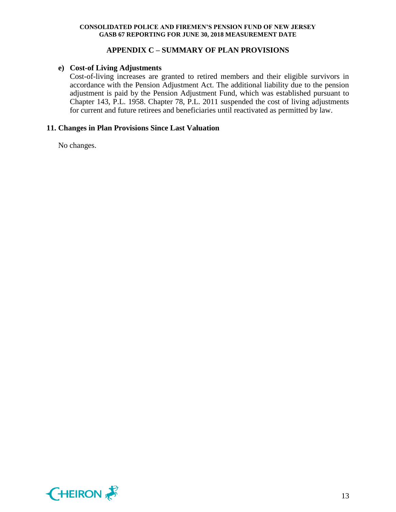## **APPENDIX C – SUMMARY OF PLAN PROVISIONS**

## **e) Cost-of Living Adjustments**

Cost-of-living increases are granted to retired members and their eligible survivors in accordance with the Pension Adjustment Act. The additional liability due to the pension adjustment is paid by the Pension Adjustment Fund, which was established pursuant to Chapter 143, P.L. 1958. Chapter 78, P.L. 2011 suspended the cost of living adjustments for current and future retirees and beneficiaries until reactivated as permitted by law.

## **11. Changes in Plan Provisions Since Last Valuation**

No changes.

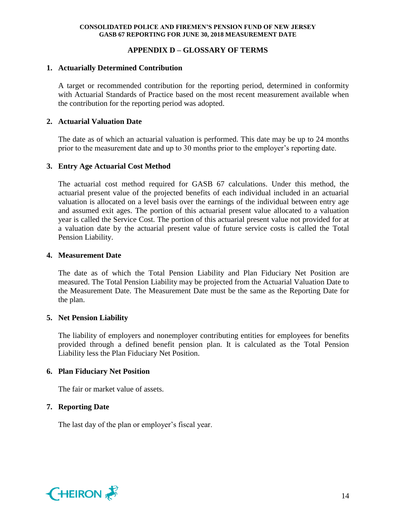## **APPENDIX D – GLOSSARY OF TERMS**

#### **1. Actuarially Determined Contribution**

A target or recommended contribution for the reporting period, determined in conformity with Actuarial Standards of Practice based on the most recent measurement available when the contribution for the reporting period was adopted.

## **2. Actuarial Valuation Date**

The date as of which an actuarial valuation is performed. This date may be up to 24 months prior to the measurement date and up to 30 months prior to the employer's reporting date.

## **3. Entry Age Actuarial Cost Method**

The actuarial cost method required for GASB 67 calculations. Under this method, the actuarial present value of the projected benefits of each individual included in an actuarial valuation is allocated on a level basis over the earnings of the individual between entry age and assumed exit ages. The portion of this actuarial present value allocated to a valuation year is called the Service Cost. The portion of this actuarial present value not provided for at a valuation date by the actuarial present value of future service costs is called the Total Pension Liability.

#### **4. Measurement Date**

The date as of which the Total Pension Liability and Plan Fiduciary Net Position are measured. The Total Pension Liability may be projected from the Actuarial Valuation Date to the Measurement Date. The Measurement Date must be the same as the Reporting Date for the plan.

#### **5. Net Pension Liability**

The liability of employers and nonemployer contributing entities for employees for benefits provided through a defined benefit pension plan. It is calculated as the Total Pension Liability less the Plan Fiduciary Net Position.

#### **6. Plan Fiduciary Net Position**

The fair or market value of assets.

## **7. Reporting Date**

The last day of the plan or employer's fiscal year.